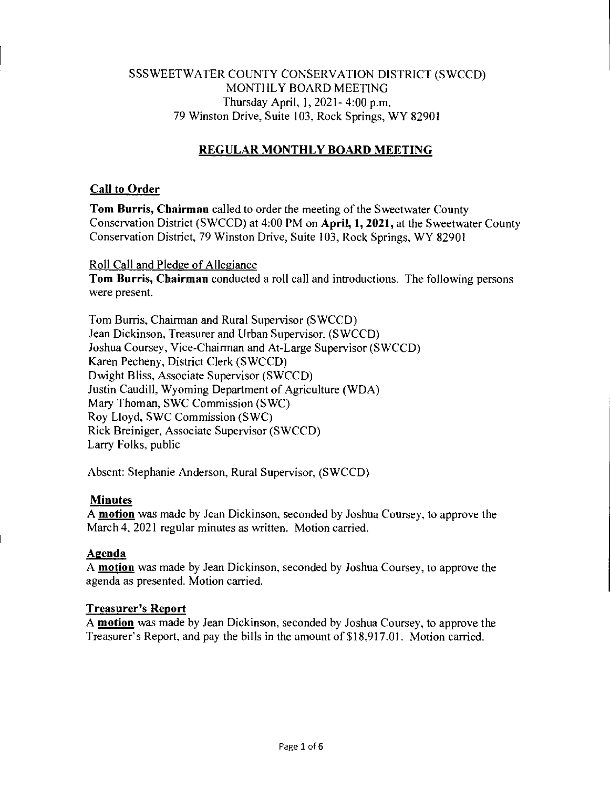## SSSWEETWATER COUNTY CONSERVATION DISTRICT (SWCCD) MONTHLY BOARD MEETING Thursday April, 1, 2021- 4:00 p.m. 79 Winston Drive, Suite 103, Rock Springs, WY 82901

# **REGULAR MONTHLY BOARD MEETING**

## **Call to Order**

**Tom Burris, Chairman** called to order the meeting of the Sweetwater County Conservation District (SWCCD) at 4:00 PM on **April, 1, 2021,** at the Sweetwater County Conservation District, 79 Winston Drive, Suite 103, Rock Springs, WY 82901

Roll Call and Pledge of Allegiance

**Tom Burris, Chairman** conducted a roll call and introductions. The following persons were present.

Tom Burns, Chairman and Rural Supervisor (SWCCD) Jean Dickinson, Treasurer and Urban Supervisor, (SWCCD) Joshua Coursey, Vice-Chairman and At-Large Supervisor (SWCCD) Karen Pecheny, District Clerk (SWCCD) Dwight Bliss, Associate Supervisor (SWCCD) Justin Caudill, Wyoming Department of Agriculture (WDA) Mary Thoman, SWC Commission (SWC) Roy Lloyd, SWC Commission (SWC) Rick Breiniger, Associate Supervisor (SWCCD) Larry Folks, public

Absent: Stephanie Anderson, Rural Supervisor, (SWCCD)

### **Minutes**

A **motion** was made by Jean Dickinson, seconded by Joshua Coursey, to approve the March 4, 2021 regular minutes as written. Motion carried.

## **Agenda**

A **motion** was made by Jean Dickinson, seconded by Joshua Coursey, to approve the agenda as presented. Motion carried.

### **Treasurer's Report**

A **motion** was made by Jean Dickinson, seconded by Joshua Coursey, to approve the Treasurer's Report, and pay the bills in the amount of \$18,917.01. Motion carried.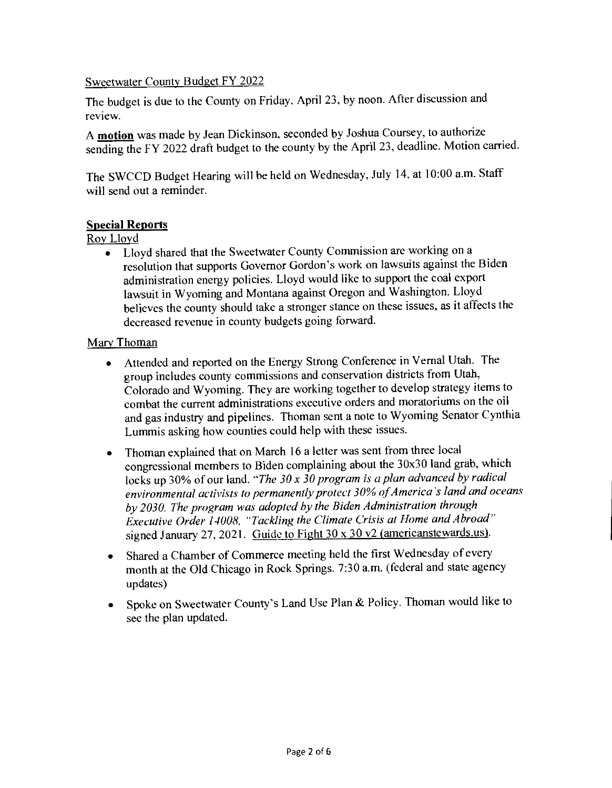### Sweetwater County Budget FY 2022

The budget is due to the County on Friday. April 23, by noon. After discussion and review.

A **motion** was made by Jean Dickinson, seconded by Joshua Coursey, to authorize sending the FY 2022 draft budget to the county by the April 23, deadline. Motion carried.

The SWCCD Budget Hearing will be held on Wednesday, July 14, at 10:00 a.m. Staff will send out a reminder.

## **Special Reports**

## Roy Lloyd

• Lloyd shared that the Sweetwater County Commission are working on a resolution that supports Governor Gordon's work on lawsuits against the Biden administration energy policies. Lloyd would like to support the coal export lawsuit in Wyoming and Montana against Oregon and Washington. Lloyd believes the county should take a stronger stance on these issues, as it affects the decreased revenue in county budgets going forward.

## Mary Thoman

- Attended and reported on the Energy Strong Conference in Vernal Utah. The group includes county commissions and conservation districts from Utah, Colorado and Wyoming. They are working together to develop strategy items to combat the current administrations executive orders and moratoriums on the oil and gas industry and pipelines. Thoman sent a note to Wyoming Senator Cynthia Lummis asking how counties could help with these issues.
- Thoman explained that on March 16 a letter was sent from three local congressional members to Biden complaining about the 30x30 land grab, which locks up 30% of our land. *"The 30 x 30 program is a plan advanced by radical environmental activists to permanently protect 30% of America's land and oceans by 2030. The program was adopted by the Biden Administration through Executive Order 14008, "Tackling the Climate Crisis at Home and Abroad"*  signed January 27, 2021. Guide to Fight 30 x 30 v2 (americanstewards.us).
- Shared a Chamber of Commerce meeting held the first Wednesday of every month at the Old Chicago in Rock Springs. 7:30 a.m. (federal and state agency updates)
- Spoke on Sweetwater County's Land Use Plan & Policy. Thoman would like to see the plan updated.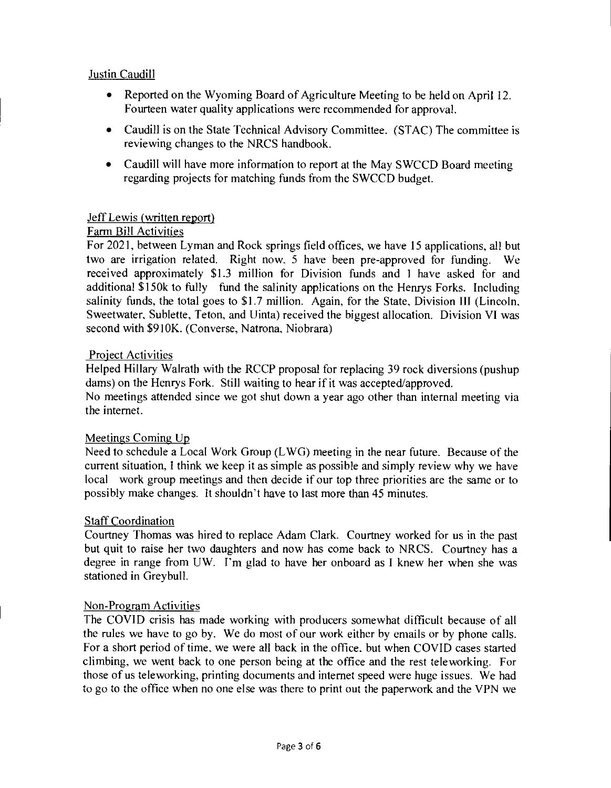## Justin Caudill

- Reported on the Wyoming Board of Agriculture Meeting to be held on April 12. Fourteen water quality applications were recommended for approval.
- Caudill is on the State Technical Advisory Committee. (STAC) The committee is reviewing changes to the NRCS handbook.
- Caudill will have more information to report at the May SWCCD Board meeting regarding projects for matching funds from the SWCCD budget.

### Jeff Lewis (written report)

### Farm Bill Activities

For 2021, between Lyman and Rock springs field offices, we have 15 applications, all but two are irrigation related. Right now, 5 have been pre-approved for funding. We received approximately \$1.3 million for Division funds and 1 have asked for and additional \$150k to fully fund the salinity applications on the Henrys Forks. Including salinity funds, the total goes to \$1.7 million. Again, for the State, Division III (Lincoln, Sweetwater, Sublette, Teton, and Uinta) received the biggest allocation. Division VI was second with \$910K. (Converse, Natrona, Niobrara)

### Project Activities

Helped Hillary Walrath with the RCCP proposal for replacing 39 rock diversions (pushup dams) on the Henrys Fork. Still waiting to hear if it was accepted/approved.

No meetings attended since we got shut down a year ago other than internal meeting via the internet.

### Meetings Coming Up

Need to schedule a Local Work Group (LWG) meeting in the near future. Because of the current situation, I think we keep it as simple as possible and simply review why we have local work group meetings and then decide if our top three priorities are the same or to possibly make changes. It shouldn't have to last more than 45 minutes.

### Staff Coordination

Courtney Thomas was hired to replace Adam Clark. Courtney worked for us in the past but quit to raise her two daughters and now has come back to NRCS. Courtney has a degree in range from UW. I'm glad to have her onboard as I knew her when she was stationed in Greybull.

### Non-Program Activities

The COVID crisis has made working with producers somewhat difficult because of all the rules we have to go by. We do most of our work either by emails or by phone calls. For a short period of time, we were all back in the office, but when COVID cases started climbing, we went back to one person being at the office and the rest teleworking. For those of us teleworking, printing documents and internet speed were huge issues. We had to go to the office when no one else was there to print out the paperwork and the VPN we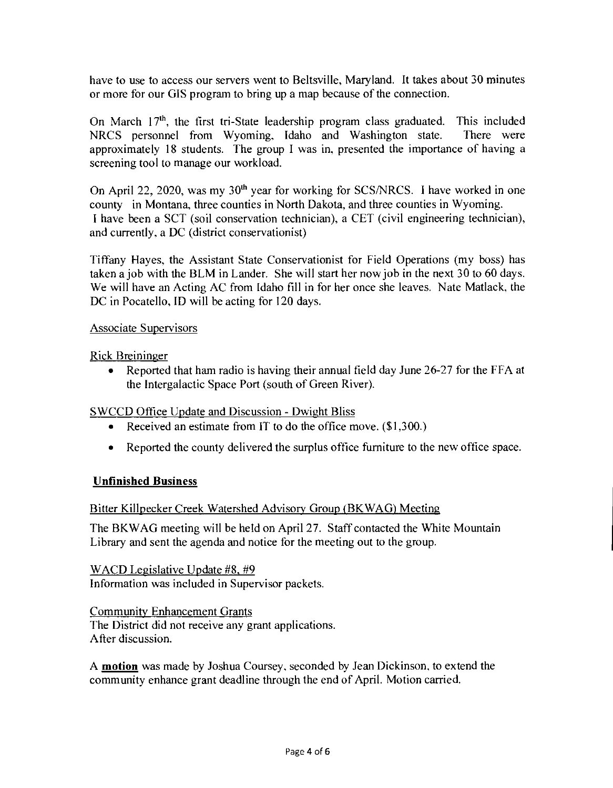have to use to access our servers went to Beltsville, Maryland. It takes about 30 minutes or more for our GIS program to bring up a map because of the connection.

On March  $17<sup>th</sup>$ , the first tri-State leadership program class graduated. This included NRCS personnel from Wyoming, Idaho and Washington state. There were approximately 18 students. The group I was in, presented the importance of having a screening tool to manage our workload.

On April 22, 2020, was my  $30<sup>th</sup>$  year for working for SCS/NRCS. I have worked in one county in Montana, three counties in North Dakota, and three counties in Wyoming. I have been a SCT (soil conservation technician), a CET (civil engineering technician), and currently, a DC (district conservationist)

Tiffany Hayes, the Assistant State Conservationist for Field Operations (my boss) has taken a job with the BLM in Lander. She will start her now job in the next 30 to 60 days. We will have an Acting AC from Idaho fill in for her once she leaves. Nate Matlack, the DC in Pocatello, ID will be acting for 120 days.

### Associate Supervisors

Rick Breininger

• Reported that ham radio is having their annual field day June 26-27 for the FFA at the Intergalactic Space Port (south of Green River).

## SWCCD Office Update and Discussion - Dwight Bliss

- Received an estimate from IT to do the office move. (\$1,300.)
- Reported the county delivered the surplus office furniture to the new office space.

## Unfinished Business

### Bitter Killpecker Creek Watershed Advisory Group (BKWAG) Meeting

The BKWAG meeting will be held on April 27. Staff contacted the White Mountain Library and sent the agenda and notice for the meeting out to the group.

WACD Legislative Update #8, #9 Information was included in Supervisor packets.

Community Enhancement Grants The District did not receive any grant applications. After discussion.

A **motion** was made by Joshua Coursey, seconded by Jean Dickinson, to extend the community enhance grant deadline through the end of April. Motion carried.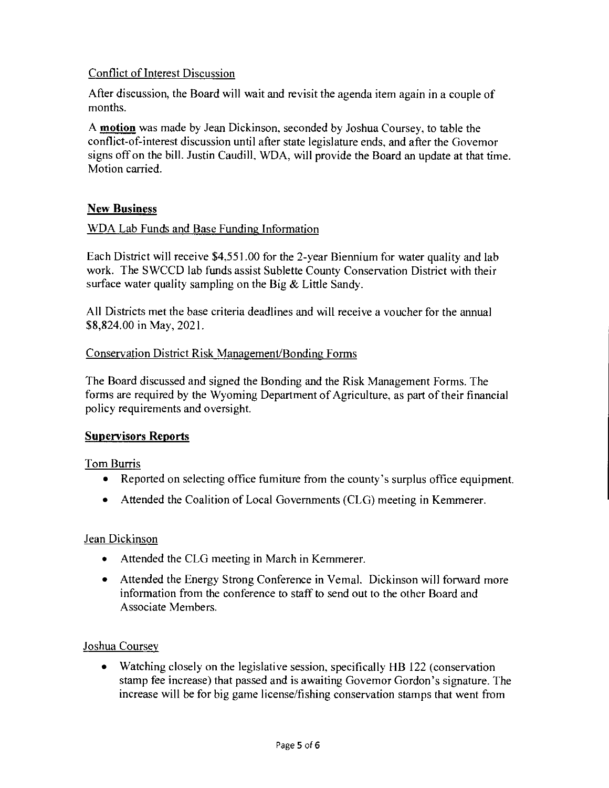## Conflict of Interest Discussion

After discussion, the Board will wait and revisit the agenda item again in a couple of months.

A motion was made by Jean Dickinson, seconded by Joshua Coursey, to table the conflict-of-interest discussion until after state legislature ends, and after the Governor signs off on the bill. Justin Caudill, WDA, will provide the Board an update at that time. Motion carried.

## **New Business**

### WDA Lab Funds and Base Funding Information

Each District will receive \$4,551.00 for the 2-year Biennium for water quality and lab work. The SWCCD lab funds assist Sublette County Conservation District with their surface water quality sampling on the Big & Little Sandy.

All Districts met the base criteria deadlines and will receive a voucher for the annual \$8,824.00 in May, 2021.

### Conservation District Risk Management/Bonding Forms

The Board discussed and signed the Bonding and the Risk Management Forms. The forms are required by the Wyoming Department of Agriculture, as part of their financial policy requirements and oversight.

## Supervisors Reports

Tom Burris

- Reported on selecting office fumiture from the county's surplus office equipment.
- Attended the Coalition of Local Governments (CLG) meeting in Kemmerer.

## Jean Dickinson

- Attended the CLG meeting in March in Kemmerer.
- Attended the Energy Strong Conference in Vernal. Dickinson will forward more information from the conference to staff to send out to the other Board and Associate Members.

## Joshua Coursey

• Watching closely on the legislative session, specifically HB 122 (conservation stamp fee increase) that passed and is awaiting Governor Gordon's signature. The increase will be for big game license/fishing conservation stamps that went from